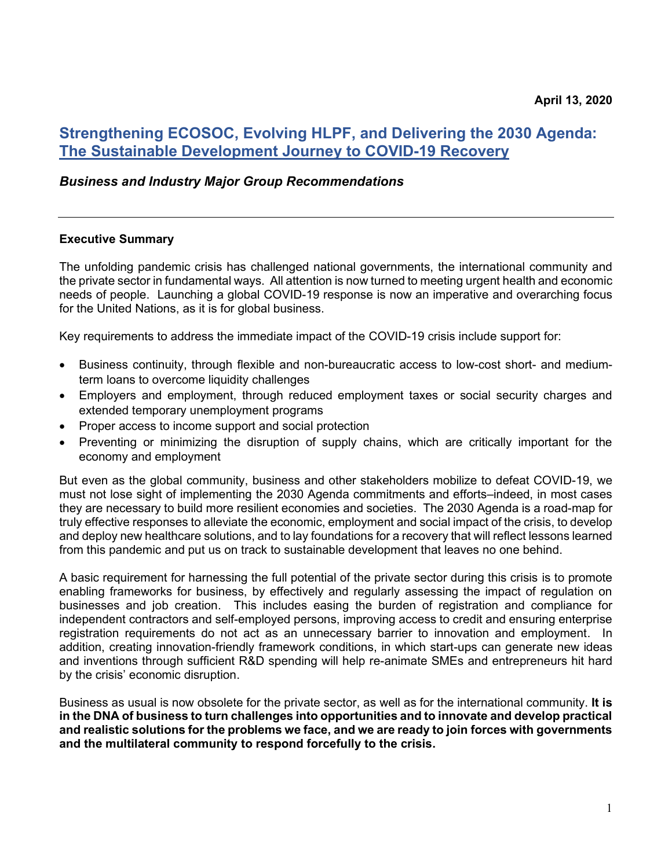# **Strengthening ECOSOC, Evolving HLPF, and Delivering the 2030 Agenda: The Sustainable Development Journey to COVID-19 Recovery**

## *Business and Industry Major Group Recommendations*

#### **Executive Summary**

The unfolding pandemic crisis has challenged national governments, the international community and the private sector in fundamental ways. All attention is now turned to meeting urgent health and economic needs of people. Launching a global COVID-19 response is now an imperative and overarching focus for the United Nations, as it is for global business.

Key requirements to address the immediate impact of the COVID-19 crisis include support for:

- Business continuity, through flexible and non-bureaucratic access to low-cost short- and mediumterm loans to overcome liquidity challenges
- Employers and employment, through reduced employment taxes or social security charges and extended temporary unemployment programs
- Proper access to income support and social protection
- Preventing or minimizing the disruption of supply chains, which are critically important for the economy and employment

But even as the global community, business and other stakeholders mobilize to defeat COVID-19, we must not lose sight of implementing the 2030 Agenda commitments and efforts–indeed, in most cases they are necessary to build more resilient economies and societies. The 2030 Agenda is a road-map for truly effective responses to alleviate the economic, employment and social impact of the crisis, to develop and deploy new healthcare solutions, and to lay foundations for a recovery that will reflect lessons learned from this pandemic and put us on track to sustainable development that leaves no one behind.

A basic requirement for harnessing the full potential of the private sector during this crisis is to promote enabling frameworks for business, by effectively and regularly assessing the impact of regulation on businesses and job creation. This includes easing the burden of registration and compliance for independent contractors and self-employed persons, improving access to credit and ensuring enterprise registration requirements do not act as an unnecessary barrier to innovation and employment. In addition, creating innovation-friendly framework conditions, in which start-ups can generate new ideas and inventions through sufficient R&D spending will help re-animate SMEs and entrepreneurs hit hard by the crisis' economic disruption.

Business as usual is now obsolete for the private sector, as well as for the international community. **It is in the DNA of business to turn challenges into opportunities and to innovate and develop practical and realistic solutions for the problems we face, and we are ready to join forces with governments and the multilateral community to respond forcefully to the crisis.**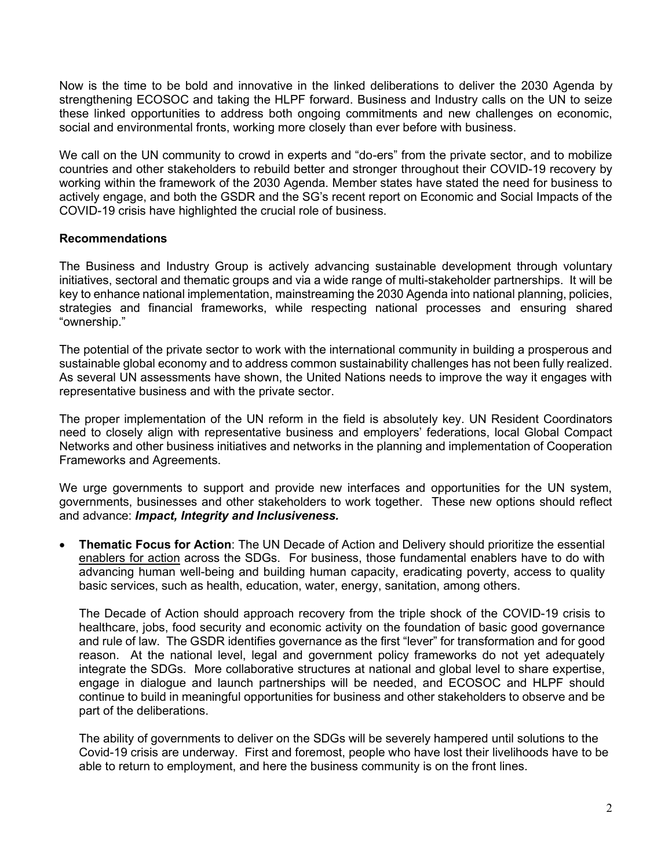Now is the time to be bold and innovative in the linked deliberations to deliver the 2030 Agenda by strengthening ECOSOC and taking the HLPF forward. Business and Industry calls on the UN to seize these linked opportunities to address both ongoing commitments and new challenges on economic, social and environmental fronts, working more closely than ever before with business.

We call on the UN community to crowd in experts and "do-ers" from the private sector, and to mobilize countries and other stakeholders to rebuild better and stronger throughout their COVID-19 recovery by working within the framework of the 2030 Agenda. Member states have stated the need for business to actively engage, and both the GSDR and the SG's recent report on Economic and Social Impacts of the COVID-19 crisis have highlighted the crucial role of business.

## **Recommendations**

The Business and Industry Group is actively advancing sustainable development through voluntary initiatives, sectoral and thematic groups and via a wide range of multi-stakeholder partnerships. It will be key to enhance national implementation, mainstreaming the 2030 Agenda into national planning, policies, strategies and financial frameworks, while respecting national processes and ensuring shared "ownership."

The potential of the private sector to work with the international community in building a prosperous and sustainable global economy and to address common sustainability challenges has not been fully realized. As several UN assessments have shown, the United Nations needs to improve the way it engages with representative business and with the private sector.

The proper implementation of the UN reform in the field is absolutely key. UN Resident Coordinators need to closely align with representative business and employers' federations, local Global Compact Networks and other business initiatives and networks in the planning and implementation of Cooperation Frameworks and Agreements.

We urge governments to support and provide new interfaces and opportunities for the UN system, governments, businesses and other stakeholders to work together. These new options should reflect and advance: *Impact, Integrity and Inclusiveness.*

• **Thematic Focus for Action**: The UN Decade of Action and Delivery should prioritize the essential enablers for action across the SDGs. For business, those fundamental enablers have to do with advancing human well-being and building human capacity, eradicating poverty, access to quality basic services, such as health, education, water, energy, sanitation, among others.

The Decade of Action should approach recovery from the triple shock of the COVID-19 crisis to healthcare, jobs, food security and economic activity on the foundation of basic good governance and rule of law. The GSDR identifies governance as the first "lever" for transformation and for good reason. At the national level, legal and government policy frameworks do not yet adequately integrate the SDGs. More collaborative structures at national and global level to share expertise, engage in dialogue and launch partnerships will be needed, and ECOSOC and HLPF should continue to build in meaningful opportunities for business and other stakeholders to observe and be part of the deliberations.

The ability of governments to deliver on the SDGs will be severely hampered until solutions to the Covid-19 crisis are underway. First and foremost, people who have lost their livelihoods have to be able to return to employment, and here the business community is on the front lines.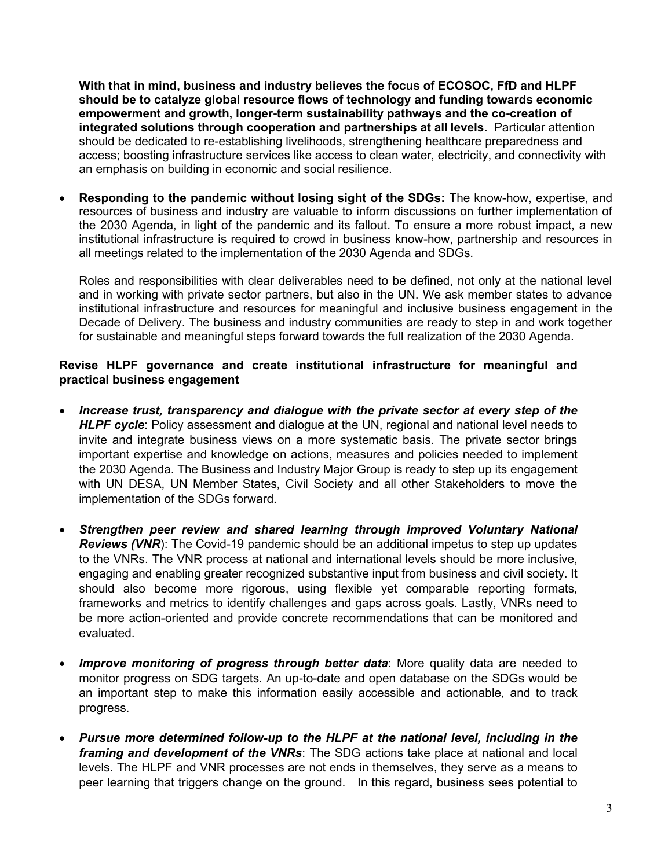**With that in mind, business and industry believes the focus of ECOSOC, FfD and HLPF should be to catalyze global resource flows of technology and funding towards economic empowerment and growth, longer-term sustainability pathways and the co-creation of integrated solutions through cooperation and partnerships at all levels.** Particular attention should be dedicated to re-establishing livelihoods, strengthening healthcare preparedness and access; boosting infrastructure services like access to clean water, electricity, and connectivity with an emphasis on building in economic and social resilience.

• **Responding to the pandemic without losing sight of the SDGs:** The know-how, expertise, and resources of business and industry are valuable to inform discussions on further implementation of the 2030 Agenda, in light of the pandemic and its fallout. To ensure a more robust impact, a new institutional infrastructure is required to crowd in business know-how, partnership and resources in all meetings related to the implementation of the 2030 Agenda and SDGs.

Roles and responsibilities with clear deliverables need to be defined, not only at the national level and in working with private sector partners, but also in the UN. We ask member states to advance institutional infrastructure and resources for meaningful and inclusive business engagement in the Decade of Delivery. The business and industry communities are ready to step in and work together for sustainable and meaningful steps forward towards the full realization of the 2030 Agenda.

# **Revise HLPF governance and create institutional infrastructure for meaningful and practical business engagement**

- *Increase trust, transparency and dialogue with the private sector at every step of the*  **HLPF cycle:** Policy assessment and dialogue at the UN, regional and national level needs to invite and integrate business views on a more systematic basis. The private sector brings important expertise and knowledge on actions, measures and policies needed to implement the 2030 Agenda. The Business and Industry Major Group is ready to step up its engagement with UN DESA, UN Member States, Civil Society and all other Stakeholders to move the implementation of the SDGs forward.
- *Strengthen peer review and shared learning through improved Voluntary National Reviews (VNR*): The Covid-19 pandemic should be an additional impetus to step up updates to the VNRs. The VNR process at national and international levels should be more inclusive, engaging and enabling greater recognized substantive input from business and civil society. It should also become more rigorous, using flexible yet comparable reporting formats, frameworks and metrics to identify challenges and gaps across goals. Lastly, VNRs need to be more action-oriented and provide concrete recommendations that can be monitored and evaluated.
- Improve monitoring of progress through better data: More quality data are needed to monitor progress on SDG targets. An up-to-date and open database on the SDGs would be an important step to make this information easily accessible and actionable, and to track progress.
- *Pursue more determined follow-up to the HLPF at the national level, including in the framing and development of the VNRs*: The SDG actions take place at national and local levels. The HLPF and VNR processes are not ends in themselves, they serve as a means to peer learning that triggers change on the ground. In this regard, business sees potential to